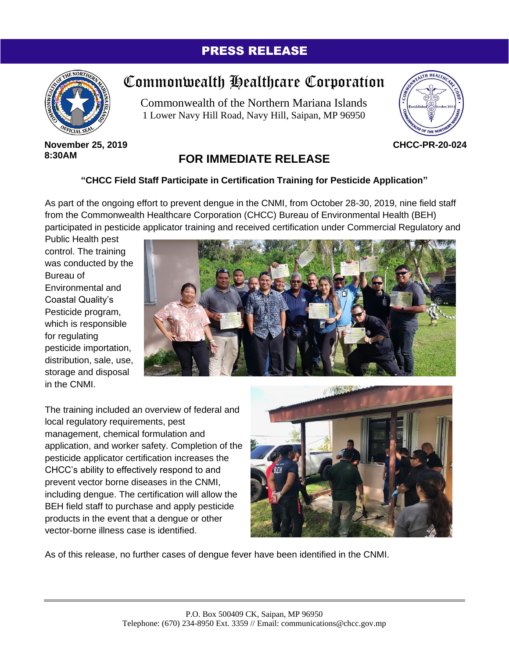## PRESS RELEASE



## Commonwealth Healthcare Corporation

Commonwealth of the Northern Mariana Islands 1 Lower Navy Hill Road, Navy Hill, Saipan, MP 96950



**November 25, 2019 8:30AM**

## **FOR IMMEDIATE RELEASE**

## **"CHCC Field Staff Participate in Certification Training for Pesticide Application"**

As part of the ongoing effort to prevent dengue in the CNMI, from October 28-30, 2019, nine field staff from the Commonwealth Healthcare Corporation (CHCC) Bureau of Environmental Health (BEH) participated in pesticide applicator training and received certification under Commercial Regulatory and

Public Health pest control. The training was conducted by the Bureau of Environmental and Coastal Quality's Pesticide program, which is responsible for regulating pesticide importation, distribution, sale, use, storage and disposal in the CNMI.



The training included an overview of federal and local regulatory requirements, pest management, chemical formulation and application, and worker safety. Completion of the pesticide applicator certification increases the CHCC's ability to effectively respond to and prevent vector borne diseases in the CNMI, including dengue. The certification will allow the BEH field staff to purchase and apply pesticide products in the event that a dengue or other vector-borne illness case is identified.



As of this release, no further cases of dengue fever have been identified in the CNMI.